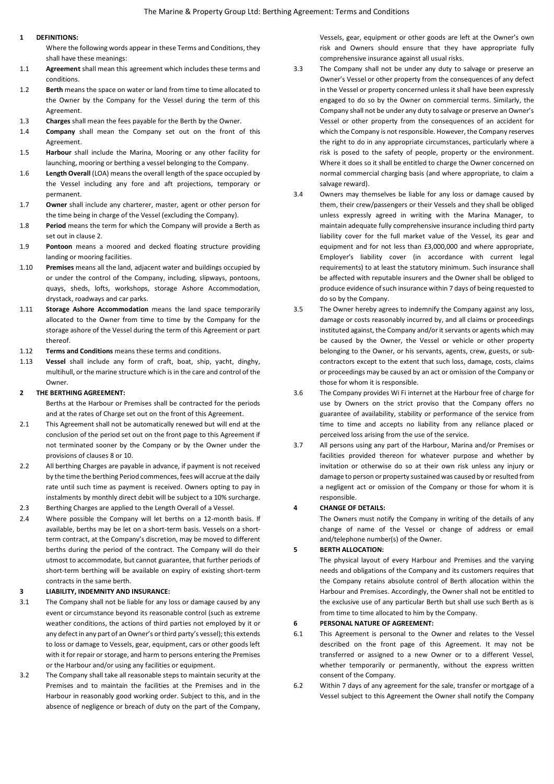# **1 DEFINITIONS:**

Where the following words appear in these Terms and Conditions, they shall have these meanings:

- 1.1 **Agreement** shall mean this agreement which includes these terms and conditions.
- 1.2 **Berth** means the space on water or land from time to time allocated to the Owner by the Company for the Vessel during the term of this Agreement.
- 1.3 **Charges** shall mean the fees payable for the Berth by the Owner.
- 1.4 **Company** shall mean the Company set out on the front of this Agreement.
- 1.5 **Harbour** shall include the Marina, Mooring or any other facility for launching, mooring or berthing a vessel belonging to the Company.
- 1.6 **Length Overall** (LOA) means the overall length of the space occupied by the Vessel including any fore and aft projections, temporary or permanent.
- 1.7 **Owner** shall include any charterer, master, agent or other person for the time being in charge of the Vessel (excluding the Company).
- 1.8 **Period** means the term for which the Company will provide a Berth as set out in clause 2.
- 1.9 **Pontoon** means a moored and decked floating structure providing landing or mooring facilities.
- 1.10 **Premises** means all the land, adjacent water and buildings occupied by or under the control of the Company, including, slipways, pontoons, quays, sheds, lofts, workshops, storage Ashore Accommodation, drystack, roadways and car parks.
- 1.11 **Storage Ashore Accommodation** means the land space temporarily allocated to the Owner from time to time by the Company for the storage ashore of the Vessel during the term of this Agreement or part thereof.
- 1.12 **Terms and Conditions** means these terms and conditions.
- 1.13 **Vessel** shall include any form of craft, boat, ship, yacht, dinghy, multihull, or the marine structure which is in the care and control of the Owner.

# **2 THE BERTHING AGREEMENT:**

Berths at the Harbour or Premises shall be contracted for the periods and at the rates of Charge set out on the front of this Agreement.

- 2.1 This Agreement shall not be automatically renewed but will end at the conclusion of the period set out on the front page to this Agreement if not terminated sooner by the Company or by the Owner under the provisions of clauses 8 or 10.
- 2.2 All berthing Charges are payable in advance, if nayment is not received by the time the berthing Period commences, fees will accrue at the daily rate until such time as payment is received. Owners opting to pay in instalments by monthly direct debit will be subject to a 10% surcharge.
- 2.3 Berthing Charges are applied to the Length Overall of a Vessel.
- 2.4 Where possible the Company will let berths on a 12-month basis. If available, berths may be let on a short-term basis. Vessels on a shortterm contract, at the Company's discretion, may be moved to different berths during the period of the contract. The Company will do their utmost to accommodate, but cannot guarantee, that further periods of short-term berthing will be available on expiry of existing short-term contracts in the same berth.

## **3 LIABILITY, INDEMNITY AND INSURANCE:**

- 3.1 The Company shall not be liable for any loss or damage caused by any event or circumstance beyond its reasonable control (such as extreme weather conditions, the actions of third parties not employed by it or any defect in any part of an Owner's or third party's vessel); this extends to loss or damage to Vessels, gear, equipment, cars or other goods left with it for repair or storage, and harm to persons entering the Premises or the Harbour and/or using any facilities or equipment.
- 3.2 The Company shall take all reasonable steps to maintain security at the Premises and to maintain the facilities at the Premises and in the Harbour in reasonably good working order. Subject to this, and in the absence of negligence or breach of duty on the part of the Company,

Vessels, gear, equipment or other goods are left at the Owner's own risk and Owners should ensure that they have appropriate fully comprehensive insurance against all usual risks.

- 3.3 The Company shall not be under any duty to salvage or preserve an Owner's Vessel or other property from the consequences of any defect in the Vessel or property concerned unless it shall have been expressly engaged to do so by the Owner on commercial terms. Similarly, the Company shall not be under any duty to salvage or preserve an Owner's Vessel or other property from the consequences of an accident for which the Company is not responsible. However, the Company reserves the right to do in any appropriate circumstances, particularly where a risk is posed to the safety of people, property or the environment. Where it does so it shall be entitled to charge the Owner concerned on normal commercial charging basis (and where appropriate, to claim a salvage reward).
- 3.4 Owners may themselves be liable for any loss or damage caused by them, their crew/passengers or their Vessels and they shall be obliged unless expressly agreed in writing with the Marina Manager, to maintain adequate fully comprehensive insurance including third party liability cover for the full market value of the Vessel, its gear and equipment and for not less than £3,000,000 and where appropriate, Employer's liability cover (in accordance with current legal requirements) to at least the statutory minimum. Such insurance shall be affected with reputable insurers and the Owner shall be obliged to produce evidence of such insurance within 7 days of being requested to do so by the Company.
- 3.5 The Owner hereby agrees to indemnify the Company against any loss, damage or costs reasonably incurred by, and all claims or proceedings instituted against, the Company and/or it servants or agents which may be caused by the Owner, the Vessel or vehicle or other property belonging to the Owner, or his servants, agents, crew, guests, or subcontractors except to the extent that such loss, damage, costs, claims or proceedings may be caused by an act or omission of the Company or those for whom it is responsible.
- 3.6 The Company provides Wi Fi internet at the Harbour free of charge for use by Owners on the strict proviso that the Company offers no guarantee of availability, stability or performance of the service from time to time and accepts no liability from any reliance placed or perceived loss arising from the use of the service.
- 3.7 All persons using any part of the Harbour, Marina and/or Premises or facilities provided thereon for whatever purpose and whether by invitation or otherwise do so at their own risk unless any injury or damage to person or property sustained was caused by or resulted from a negligent act or omission of the Company or those for whom it is responsible

# **4 CHANGE OF DETAILS:**

The Owners must notify the Company in writing of the details of any change of name of the Vessel or change of address or email and/telephone number(s) of the Owner.

# **5 BERTH ALLOCATION:**

The physical layout of every Harbour and Premises and the varying needs and obligations of the Company and its customers requires that the Company retains absolute control of Berth allocation within the Harbour and Premises. Accordingly, the Owner shall not be entitled to the exclusive use of any particular Berth but shall use such Berth as is from time to time allocated to him by the Company.

### **6 PERSONAL NATURE OF AGREEMENT:**

- 6.1 This Agreement is personal to the Owner and relates to the Vessel described on the front page of this Agreement. It may not be transferred or assigned to a new Owner or to a different Vessel, whether temporarily or permanently, without the express written consent of the Company.
- 6.2 Within 7 days of any agreement for the sale, transfer or mortgage of a Vessel subject to this Agreement the Owner shall notify the Company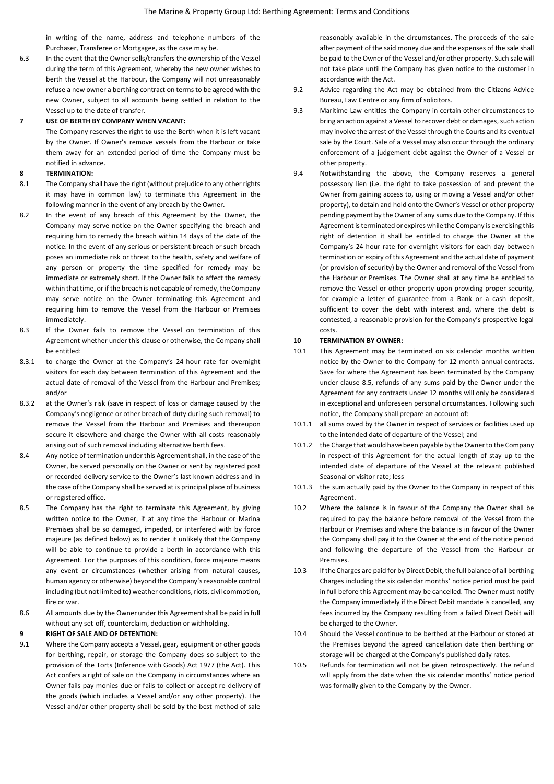in writing of the name, address and telephone numbers of the Purchaser, Transferee or Mortgagee, as the case may be.

6.3 In the event that the Owner sells/transfers the ownership of the Vessel during the term of this Agreement, whereby the new owner wishes to berth the Vessel at the Harbour, the Company will not unreasonably refuse a new owner a berthing contract on terms to be agreed with the new Owner, subject to all accounts being settled in relation to the Vessel up to the date of transfer.

### **7 USE OF BERTH BY COMPANY WHEN VACANT:**

The Company reserves the right to use the Berth when it is left vacant by the Owner. If Owner's remove vessels from the Harbour or take them away for an extended period of time the Company must be notified in advance.

# **8 TERMINATION:**

- 8.1 The Company shall have the right (without prejudice to any other rights it may have in common law) to terminate this Agreement in the following manner in the event of any breach by the Owner.
- 8.2 In the event of any breach of this Agreement by the Owner, the Company may serve notice on the Owner specifying the breach and requiring him to remedy the breach within 14 days of the date of the notice. In the event of any serious or persistent breach or such breach poses an immediate risk or threat to the health, safety and welfare of any person or property the time specified for remedy may be immediate or extremely short. If the Owner fails to affect the remedy within that time, or if the breach is not capable of remedy, the Company may serve notice on the Owner terminating this Agreement and requiring him to remove the Vessel from the Harbour or Premises immediately.
- 8.3 If the Owner fails to remove the Vessel on termination of this Agreement whether under this clause or otherwise, the Company shall be entitled:
- 8.3.1 to charge the Owner at the Company's 24-hour rate for overnight visitors for each day between termination of this Agreement and the actual date of removal of the Vessel from the Harbour and Premises; and/or
- 8.3.2 at the Owner's risk (save in respect of loss or damage caused by the Company's negligence or other breach of duty during such removal) to remove the Vessel from the Harbour and Premises and thereupon secure it elsewhere and charge the Owner with all costs reasonably arising out of such removal including alternative berth fees.
- 8.4 Any notice of termination under this Agreement shall, in the case of the Owner, be served personally on the Owner or sent by registered post or recorded delivery service to the Owner's last known address and in the case of the Company shall be served at is principal place of business or registered office.
- 8.5 The Company has the right to terminate this Agreement, by giving written notice to the Owner, if at any time the Harbour or Marina Premises shall be so damaged, impeded, or interfered with by force majeure (as defined below) as to render it unlikely that the Company will be able to continue to provide a berth in accordance with this Agreement. For the purposes of this condition, force majeure means any event or circumstances (whether arising from natural causes, human agency or otherwise) beyond the Company's reasonable control including (but not limited to) weather conditions, riots, civil commotion, fire or war.
- 8.6 All amounts due by the Owner under this Agreement shall be paid in full without any set-off, counterclaim, deduction or withholding.

### **9 RIGHT OF SALE AND OF DETENTION:**

9.1 Where the Company accepts a Vessel, gear, equipment or other goods for berthing, repair, or storage the Company does so subject to the provision of the Torts (Inference with Goods) Act 1977 (the Act). This Act confers a right of sale on the Company in circumstances where an Owner fails pay monies due or fails to collect or accept re-delivery of the goods (which includes a Vessel and/or any other property). The Vessel and/or other property shall be sold by the best method of sale reasonably available in the circumstances. The proceeds of the sale after payment of the said money due and the expenses of the sale shall be paid to the Owner of the Vessel and/or other property. Such sale will not take place until the Company has given notice to the customer in accordance with the Act.

- 9.2 Advice regarding the Act may be obtained from the Citizens Advice Bureau, Law Centre or any firm of solicitors.
- 9.3 Maritime Law entitles the Company in certain other circumstances to bring an action against a Vessel to recover debt or damages, such action may involve the arrest of the Vessel through the Courts and its eventual sale by the Court. Sale of a Vessel may also occur through the ordinary enforcement of a judgement debt against the Owner of a Vessel or other property.
- 9.4 Notwithstanding the above, the Company reserves a general possessory lien (i.e. the right to take possession of and prevent the Owner from gaining access to, using or moving a Vessel and/or other property), to detain and hold onto the Owner's Vessel or other property pending payment by the Owner of any sums due to the Company. If this Agreement is terminated or expires while the Company is exercising this right of detention it shall be entitled to charge the Owner at the Company's 24 hour rate for overnight visitors for each day between termination or expiry of this Agreement and the actual date of payment (or provision of security) by the Owner and removal of the Vessel from the Harbour or Premises. The Owner shall at any time be entitled to remove the Vessel or other property upon providing proper security, for example a letter of guarantee from a Bank or a cash deposit, sufficient to cover the debt with interest and, where the debt is contested, a reasonable provision for the Company's prospective legal costs.

#### **10 TERMINATION BY OWNER:**

- 10.1 This Agreement may be terminated on six calendar months written notice by the Owner to the Company for 12 month annual contracts. Save for where the Agreement has been terminated by the Company under clause 8.5, refunds of any sums paid by the Owner under the Agreement for any contracts under 12 months will only be considered in exceptional and unforeseen personal circumstances. Following such notice, the Company shall prepare an account of:
- 10.1.1 all sums owed by the Owner in respect of services or facilities used up to the intended date of departure of the Vessel; and
- 10.1.2 the Charge that would have been payable by the Owner to the Company in respect of this Agreement for the actual length of stay up to the intended date of departure of the Vessel at the relevant published Seasonal or visitor rate; less
- 10.1.3 the sum actually paid by the Owner to the Company in respect of this Agreement.
- 10.2 Where the balance is in favour of the Company the Owner shall be required to pay the balance before removal of the Vessel from the Harbour or Premises and where the balance is in favour of the Owner the Company shall pay it to the Owner at the end of the notice period and following the departure of the Vessel from the Harbour or Premises.
- 10.3 If the Charges are paid for by Direct Debit, the full balance of all berthing Charges including the six calendar months' notice period must be paid in full before this Agreement may be cancelled. The Owner must notify the Company immediately if the Direct Debit mandate is cancelled, any fees incurred by the Company resulting from a failed Direct Debit will be charged to the Owner.
- 10.4 Should the Vessel continue to be berthed at the Harbour or stored at the Premises beyond the agreed cancellation date then berthing or storage will be charged at the Company's published daily rates.
- 10.5 Refunds for termination will not be given retrospectively. The refund will apply from the date when the six calendar months' notice period was formally given to the Company by the Owner.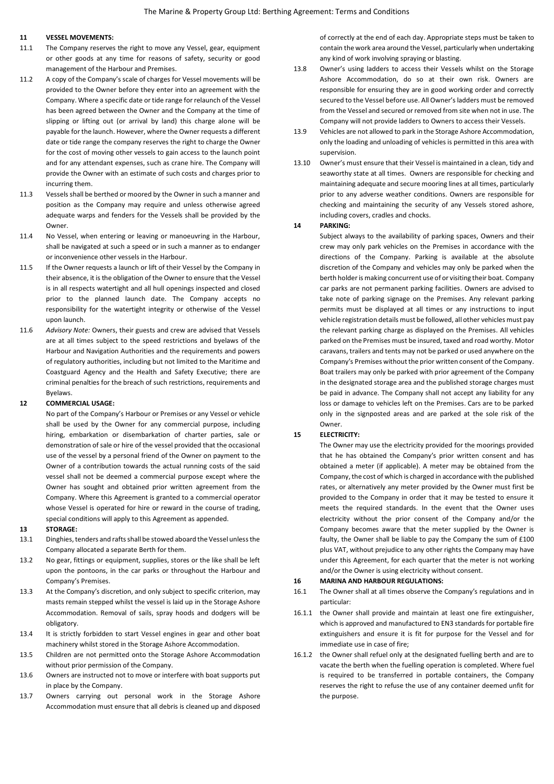# **11 VESSEL MOVEMENTS:**

- 11.1 The Company reserves the right to move any Vessel, gear, equipment or other goods at any time for reasons of safety, security or good management of the Harbour and Premises.
- 11.2 A copy of the Company's scale of charges for Vessel movements will be provided to the Owner before they enter into an agreement with the Company. Where a specific date or tide range for relaunch of the Vessel has been agreed between the Owner and the Company at the time of slipping or lifting out (or arrival by land) this charge alone will be payable for the launch. However, where the Owner requests a different date or tide range the company reserves the right to charge the Owner for the cost of moving other vessels to gain access to the launch point and for any attendant expenses, such as crane hire. The Company will provide the Owner with an estimate of such costs and charges prior to incurring them.
- 11.3 Vessels shall be berthed or moored by the Owner in such a manner and position as the Company may require and unless otherwise agreed adequate warps and fenders for the Vessels shall be provided by the **Owner**
- 11.4 No Vessel, when entering or leaving or manoeuvring in the Harbour, shall be navigated at such a speed or in such a manner as to endanger or inconvenience other vessels in the Harbour.
- 11.5 If the Owner requests a launch or lift of their Vessel by the Company in their absence, it is the obligation of the Owner to ensure that the Vessel is in all respects watertight and all hull openings inspected and closed prior to the planned launch date. The Company accepts no responsibility for the watertight integrity or otherwise of the Vessel upon launch.
- 11.6 *Advisory Note:* Owners, their guests and crew are advised that Vessels are at all times subject to the speed restrictions and byelaws of the Harbour and Navigation Authorities and the requirements and powers of regulatory authorities, including but not limited to the Maritime and Coastguard Agency and the Health and Safety Executive; there are criminal penalties for the breach of such restrictions, requirements and Byelaws.

### **12 COMMERCIAL USAGE:**

No part of the Company's Harbour or Premises or any Vessel or vehicle shall be used by the Owner for any commercial purpose, including hiring, embarkation or disembarkation of charter parties, sale or demonstration of sale or hire of the vessel provided that the occasional use of the vessel by a personal friend of the Owner on payment to the Owner of a contribution towards the actual running costs of the said vessel shall not be deemed a commercial purpose except where the Owner has sought and obtained prior written agreement from the Company. Where this Agreement is granted to a commercial operator whose Vessel is operated for hire or reward in the course of trading. special conditions will apply to this Agreement as appended.

#### **13 STORAGE:**

- 13.1 Dinghies, tenders and rafts shall be stowed aboard the Vessel unless the Company allocated a separate Berth for them.
- 13.2 No gear, fittings or equipment, supplies, stores or the like shall be left upon the pontoons, in the car parks or throughout the Harbour and Company's Premises.
- 13.3 At the Company's discretion, and only subject to specific criterion, may masts remain stepped whilst the vessel is laid up in the Storage Ashore Accommodation. Removal of sails, spray hoods and dodgers will be obligatory.
- 13.4 It is strictly forbidden to start Vessel engines in gear and other boat machinery whilst stored in the Storage Ashore Accommodation.
- 13.5 Children are not permitted onto the Storage Ashore Accommodation without prior permission of the Company.
- 13.6 Owners are instructed not to move or interfere with boat supports put in place by the Company.
- 13.7 Owners carrying out personal work in the Storage Ashore Accommodation must ensure that all debris is cleaned up and disposed

of correctly at the end of each day. Appropriate steps must be taken to contain the work area around the Vessel, particularly when undertaking any kind of work involving spraying or blasting.

- 13.8 Owner's using ladders to access their Vessels whilst on the Storage Ashore Accommodation, do so at their own risk. Owners are responsible for ensuring they are in good working order and correctly secured to the Vessel before use. All Owner's ladders must be removed from the Vessel and secured or removed from site when not in use. The Company will not provide ladders to Owners to access their Vessels.
- 13.9 Vehicles are not allowed to park in the Storage Ashore Accommodation, only the loading and unloading of vehicles is permitted in this area with supervision.
- 13.10 Owner's must ensure that their Vessel is maintained in a clean, tidy and seaworthy state at all times. Owners are responsible for checking and maintaining adequate and secure mooring lines at all times, particularly prior to any adverse weather conditions. Owners are responsible for checking and maintaining the security of any Vessels stored ashore, including covers, cradles and chocks.

### **14 PARKING:**

Subject always to the availability of parking spaces, Owners and their crew may only park vehicles on the Premises in accordance with the directions of the Company. Parking is available at the absolute discretion of the Company and vehicles may only be parked when the berth holder is making concurrent use of or visiting their boat. Company car parks are not permanent parking facilities. Owners are advised to take note of parking signage on the Premises. Any relevant parking permits must be displayed at all times or any instructions to input vehicle registration details must be followed, all other vehicles must pay the relevant parking charge as displayed on the Premises. All vehicles parked on the Premises must be insured, taxed and road worthy. Motor caravans, trailers and tents may not be parked or used anywhere on the Company's Premises without the prior written consent of the Company. Boat trailers may only be parked with prior agreement of the Company in the designated storage area and the published storage charges must be paid in advance. The Company shall not accept any liability for any loss or damage to vehicles left on the Premises. Cars are to be parked only in the signposted areas and are parked at the sole risk of the Owner.

### **15 ELECTRICITY:**

The Owner may use the electricity provided for the moorings provided that he has obtained the Company's prior written consent and has obtained a meter (if applicable). A meter may be obtained from the Company, the cost of which is charged in accordance with the published rates, or alternatively any meter provided by the Owner must first be provided to the Company in order that it may be tested to ensure it meets the required standards. In the event that the Owner uses electricity without the prior consent of the Company and/or the Company becomes aware that the meter supplied by the Owner is faulty, the Owner shall be liable to pay the Company the sum of £100 plus VAT, without prejudice to any other rights the Company may have under this Agreement, for each quarter that the meter is not working and/or the Owner is using electricity without consent.

### **16 MARINA AND HARBOUR REGULATIONS:**

- 16.1 The Owner shall at all times observe the Company's regulations and in particular:
- 16.1.1 the Owner shall provide and maintain at least one fire extinguisher, which is approved and manufactured to EN3 standards for portable fire extinguishers and ensure it is fit for purpose for the Vessel and for immediate use in case of fire;
- 16.1.2 the Owner shall refuel only at the designated fuelling berth and are to vacate the berth when the fuelling operation is completed. Where fuel is required to be transferred in portable containers, the Company reserves the right to refuse the use of any container deemed unfit for the purpose.